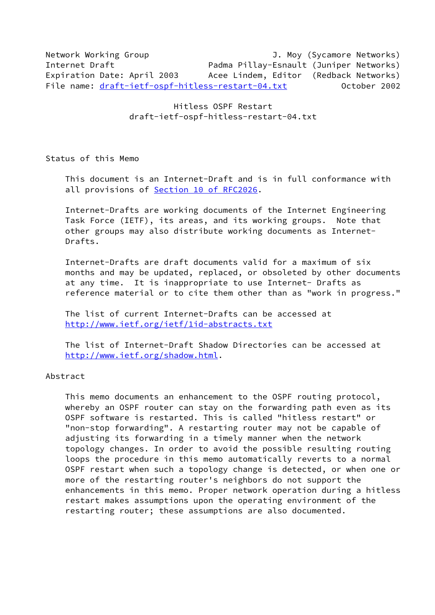Network Working Group J. Moy (Sycamore Networks) Internet Draft **Padma Pillay-Esnault (Juniper Networks)** Expiration Date: April 2003 Acee Lindem, Editor (Redback Networks) File name: [draft-ietf-ospf-hitless-restart-04.txt](https://datatracker.ietf.org/doc/pdf/draft-ietf-ospf-hitless-restart-04.txt) October 2002

> Hitless OSPF Restart draft-ietf-ospf-hitless-restart-04.txt

Status of this Memo

 This document is an Internet-Draft and is in full conformance with all provisions of **Section [10 of RFC2026.](https://datatracker.ietf.org/doc/pdf/rfc2026#section-10)** 

 Internet-Drafts are working documents of the Internet Engineering Task Force (IETF), its areas, and its working groups. Note that other groups may also distribute working documents as Internet- Drafts.

 Internet-Drafts are draft documents valid for a maximum of six months and may be updated, replaced, or obsoleted by other documents at any time. It is inappropriate to use Internet- Drafts as reference material or to cite them other than as "work in progress."

 The list of current Internet-Drafts can be accessed at <http://www.ietf.org/ietf/1id-abstracts.txt>

 The list of Internet-Draft Shadow Directories can be accessed at <http://www.ietf.org/shadow.html>.

## Abstract

 This memo documents an enhancement to the OSPF routing protocol, whereby an OSPF router can stay on the forwarding path even as its OSPF software is restarted. This is called "hitless restart" or "non-stop forwarding". A restarting router may not be capable of adjusting its forwarding in a timely manner when the network topology changes. In order to avoid the possible resulting routing loops the procedure in this memo automatically reverts to a normal OSPF restart when such a topology change is detected, or when one or more of the restarting router's neighbors do not support the enhancements in this memo. Proper network operation during a hitless restart makes assumptions upon the operating environment of the restarting router; these assumptions are also documented.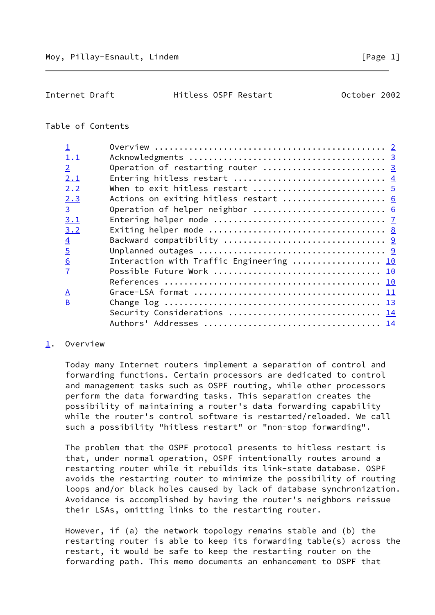<span id="page-1-1"></span>Internet Draft Hitless OSPF Restart October 2002

## Table of Contents

| 1.1                      |                                          |
|--------------------------|------------------------------------------|
| $\overline{2}$           | Operation of restarting router  3        |
| 2.1                      |                                          |
| 2.2                      |                                          |
| 2.3                      | Actions on exiting hitless restart  6    |
| $\overline{3}$           | Operation of helper neighbor  6          |
| 3.1                      |                                          |
| 3.2                      |                                          |
| $\overline{4}$           |                                          |
| $\overline{5}$           |                                          |
| $\underline{6}$          | Interaction with Traffic Engineering  10 |
| $\overline{1}$           |                                          |
|                          |                                          |
| $\underline{\mathsf{A}}$ |                                          |
| $\overline{B}$           |                                          |
|                          | Security Considerations  14              |
|                          |                                          |
|                          |                                          |

## <span id="page-1-0"></span>[1](#page-1-0). Overview

 Today many Internet routers implement a separation of control and forwarding functions. Certain processors are dedicated to control and management tasks such as OSPF routing, while other processors perform the data forwarding tasks. This separation creates the possibility of maintaining a router's data forwarding capability while the router's control software is restarted/reloaded. We call such a possibility "hitless restart" or "non-stop forwarding".

 The problem that the OSPF protocol presents to hitless restart is that, under normal operation, OSPF intentionally routes around a restarting router while it rebuilds its link-state database. OSPF avoids the restarting router to minimize the possibility of routing loops and/or black holes caused by lack of database synchronization. Avoidance is accomplished by having the router's neighbors reissue their LSAs, omitting links to the restarting router.

 However, if (a) the network topology remains stable and (b) the restarting router is able to keep its forwarding table(s) across the restart, it would be safe to keep the restarting router on the forwarding path. This memo documents an enhancement to OSPF that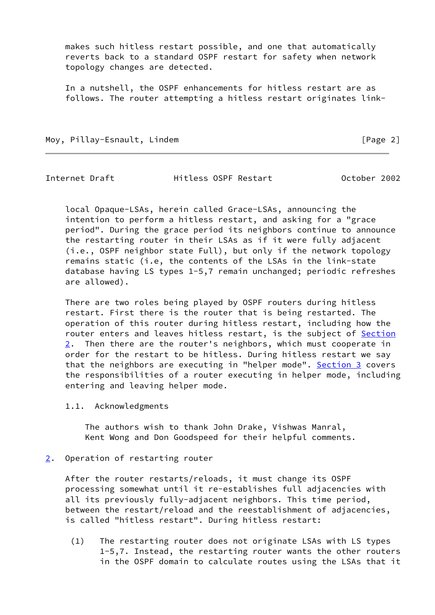makes such hitless restart possible, and one that automatically reverts back to a standard OSPF restart for safety when network topology changes are detected.

 In a nutshell, the OSPF enhancements for hitless restart are as follows. The router attempting a hitless restart originates link-

Moy, Pillay-Esnault, Lindem **Example 2** and the set of the set of the set of the set of the set of the set of the set of the set of the set of the set of the set of the set of the set of the set of the set of the set of th

<span id="page-2-0"></span>

Internet Draft Hitless OSPF Restart October 2002

 local Opaque-LSAs, herein called Grace-LSAs, announcing the intention to perform a hitless restart, and asking for a "grace period". During the grace period its neighbors continue to announce the restarting router in their LSAs as if it were fully adjacent (i.e., OSPF neighbor state Full), but only if the network topology remains static (i.e, the contents of the LSAs in the link-state database having LS types 1-5,7 remain unchanged; periodic refreshes are allowed).

 There are two roles being played by OSPF routers during hitless restart. First there is the router that is being restarted. The operation of this router during hitless restart, including how the router enters and leaves hitless restart, is the subject of [Section](#page-2-1)  $2.$  $2.$  Then there are the router's neighbors, which must cooperate in order for the restart to be hitless. During hitless restart we say that the neighbors are executing in "helper mode". [Section 3](#page-6-0) covers the responsibilities of a router executing in helper mode, including entering and leaving helper mode.

1.1. Acknowledgments

 The authors wish to thank John Drake, Vishwas Manral, Kent Wong and Don Goodspeed for their helpful comments.

<span id="page-2-1"></span>[2](#page-2-1). Operation of restarting router

 After the router restarts/reloads, it must change its OSPF processing somewhat until it re-establishes full adjacencies with all its previously fully-adjacent neighbors. This time period, between the restart/reload and the reestablishment of adjacencies, is called "hitless restart". During hitless restart:

 (1) The restarting router does not originate LSAs with LS types 1-5,7. Instead, the restarting router wants the other routers in the OSPF domain to calculate routes using the LSAs that it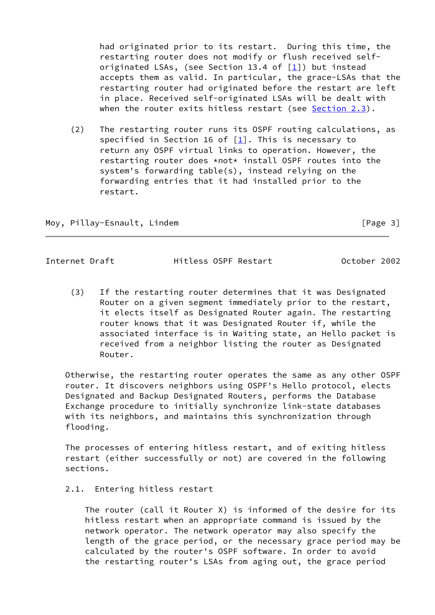had originated prior to its restart. During this time, the restarting router does not modify or flush received self originated LSAs, (see Section 13.4 of [[1\]](#page-10-3)) but instead accepts them as valid. In particular, the grace-LSAs that the restarting router had originated before the restart are left in place. Received self-originated LSAs will be dealt with when the router exits hitless restart (see Section 2.3).

 (2) The restarting router runs its OSPF routing calculations, as specified in Section 16 of  $[1]$  $[1]$ . This is necessary to return any OSPF virtual links to operation. However, the restarting router does \*not\* install OSPF routes into the system's forwarding table(s), instead relying on the forwarding entries that it had installed prior to the restart.

Moy, Pillay-Esnault, Lindem and the control of the state of Page 3]

<span id="page-3-0"></span>Internet Draft Hitless OSPF Restart October 2002

 (3) If the restarting router determines that it was Designated Router on a given segment immediately prior to the restart, it elects itself as Designated Router again. The restarting router knows that it was Designated Router if, while the associated interface is in Waiting state, an Hello packet is received from a neighbor listing the router as Designated Router.

 Otherwise, the restarting router operates the same as any other OSPF router. It discovers neighbors using OSPF's Hello protocol, elects Designated and Backup Designated Routers, performs the Database Exchange procedure to initially synchronize link-state databases with its neighbors, and maintains this synchronization through flooding.

 The processes of entering hitless restart, and of exiting hitless restart (either successfully or not) are covered in the following sections.

2.1. Entering hitless restart

 The router (call it Router X) is informed of the desire for its hitless restart when an appropriate command is issued by the network operator. The network operator may also specify the length of the grace period, or the necessary grace period may be calculated by the router's OSPF software. In order to avoid the restarting router's LSAs from aging out, the grace period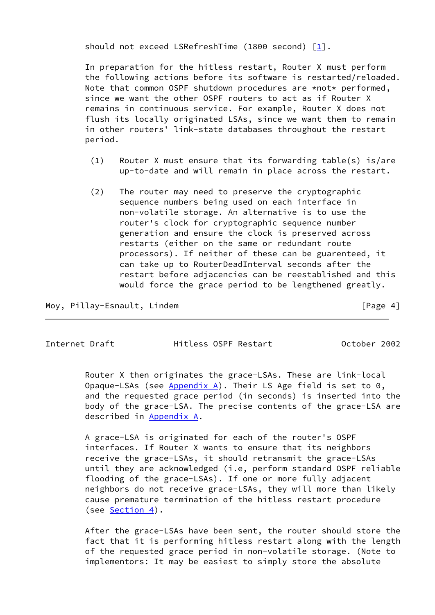should not exceed LSRefreshTime (1800 second) [[1\]](#page-10-3).

 In preparation for the hitless restart, Router X must perform the following actions before its software is restarted/reloaded. Note that common OSPF shutdown procedures are \*not\* performed, since we want the other OSPF routers to act as if Router X remains in continuous service. For example, Router X does not flush its locally originated LSAs, since we want them to remain in other routers' link-state databases throughout the restart period.

- (1) Router X must ensure that its forwarding table(s) is/are up-to-date and will remain in place across the restart.
- (2) The router may need to preserve the cryptographic sequence numbers being used on each interface in non-volatile storage. An alternative is to use the router's clock for cryptographic sequence number generation and ensure the clock is preserved across restarts (either on the same or redundant route processors). If neither of these can be guarenteed, it can take up to RouterDeadInterval seconds after the restart before adjacencies can be reestablished and this would force the grace period to be lengthened greatly.

Moy, Pillay-Esnault, Lindem **Example 20** [Page 4]

<span id="page-4-0"></span>Internet Draft Hitless OSPF Restart October 2002

 Router X then originates the grace-LSAs. These are link-local Opaque-LSAs (see [Appendix A\)](#page-11-0). Their LS Age field is set to  $0,$  and the requested grace period (in seconds) is inserted into the body of the grace-LSA. The precise contents of the grace-LSA are described in [Appendix A.](#page-11-0)

 A grace-LSA is originated for each of the router's OSPF interfaces. If Router X wants to ensure that its neighbors receive the grace-LSAs, it should retransmit the grace-LSAs until they are acknowledged (i.e, perform standard OSPF reliable flooding of the grace-LSAs). If one or more fully adjacent neighbors do not receive grace-LSAs, they will more than likely cause premature termination of the hitless restart procedure (see [Section 4\)](#page-9-0).

 After the grace-LSAs have been sent, the router should store the fact that it is performing hitless restart along with the length of the requested grace period in non-volatile storage. (Note to implementors: It may be easiest to simply store the absolute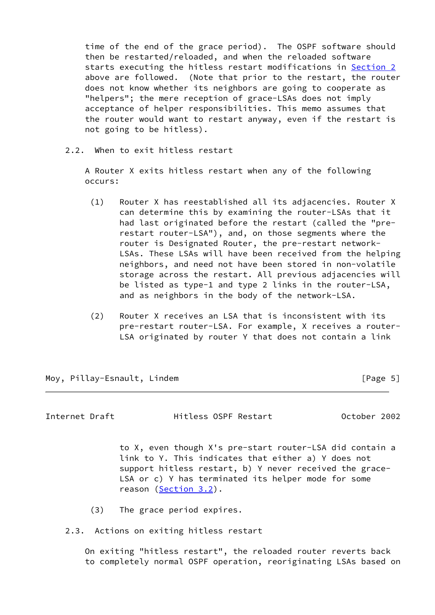time of the end of the grace period). The OSPF software should then be restarted/reloaded, and when the reloaded software starts executing the hitless restart modifications in [Section 2](#page-2-1) above are followed. (Note that prior to the restart, the router does not know whether its neighbors are going to cooperate as "helpers"; the mere reception of grace-LSAs does not imply acceptance of helper responsibilities. This memo assumes that the router would want to restart anyway, even if the restart is not going to be hitless).

2.2. When to exit hitless restart

 A Router X exits hitless restart when any of the following occurs:

- (1) Router X has reestablished all its adjacencies. Router X can determine this by examining the router-LSAs that it had last originated before the restart (called the "pre restart router-LSA"), and, on those segments where the router is Designated Router, the pre-restart network- LSAs. These LSAs will have been received from the helping neighbors, and need not have been stored in non-volatile storage across the restart. All previous adjacencies will be listed as type-1 and type 2 links in the router-LSA, and as neighbors in the body of the network-LSA.
- (2) Router X receives an LSA that is inconsistent with its pre-restart router-LSA. For example, X receives a router- LSA originated by router Y that does not contain a link

Moy, Pillay-Esnault, Lindem **Example 20** (Page 5)

<span id="page-5-0"></span>Internet Draft Hitless OSPF Restart October 2002

 to X, even though X's pre-start router-LSA did contain a link to Y. This indicates that either a) Y does not support hitless restart, b) Y never received the grace- LSA or c) Y has terminated its helper mode for some reason (Section 3.2).

(3) The grace period expires.

2.3. Actions on exiting hitless restart

 On exiting "hitless restart", the reloaded router reverts back to completely normal OSPF operation, reoriginating LSAs based on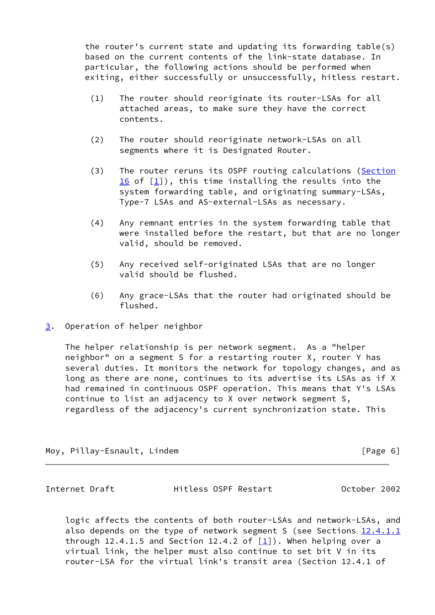the router's current state and updating its forwarding table(s) based on the current contents of the link-state database. In particular, the following actions should be performed when exiting, either successfully or unsuccessfully, hitless restart.

- (1) The router should reoriginate its router-LSAs for all attached areas, to make sure they have the correct contents.
- (2) The router should reoriginate network-LSAs on all segments where it is Designated Router.
- (3) The router reruns its OSPF routing calculations (Section 16 of  $[1]$  $[1]$ ), this time installing the results into the system forwarding table, and originating summary-LSAs, Type-7 LSAs and AS-external-LSAs as necessary.
- (4) Any remnant entries in the system forwarding table that were installed before the restart, but that are no longer valid, should be removed.
- (5) Any received self-originated LSAs that are no longer valid should be flushed.
- (6) Any grace-LSAs that the router had originated should be flushed.
- <span id="page-6-0"></span>[3](#page-6-0). Operation of helper neighbor

 The helper relationship is per network segment. As a "helper neighbor" on a segment S for a restarting router X, router Y has several duties. It monitors the network for topology changes, and as long as there are none, continues to its advertise its LSAs as if X had remained in continuous OSPF operation. This means that Y's LSAs continue to list an adjacency to X over network segment S, regardless of the adjacency's current synchronization state. This

Moy, Pillay-Esnault, Lindem [Page 6]

<span id="page-6-1"></span>Internet Draft Hitless OSPF Restart October 2002

 logic affects the contents of both router-LSAs and network-LSAs, and also depends on the type of network segment S (see Sections  $12.4.1.1$ through 12.4.1.5 and Section 12.4.2 of  $[1]$  $[1]$ ). When helping over a virtual link, the helper must also continue to set bit V in its router-LSA for the virtual link's transit area (Section 12.4.1 of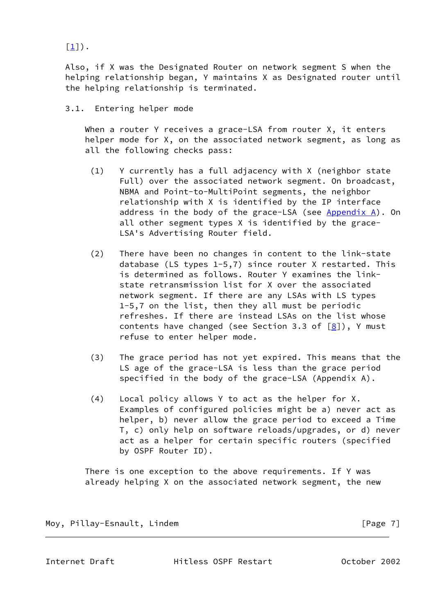$[1]$ ).

 Also, if X was the Designated Router on network segment S when the helping relationship began, Y maintains X as Designated router until the helping relationship is terminated.

## 3.1. Entering helper mode

When a router Y receives a grace-LSA from router X, it enters helper mode for X, on the associated network segment, as long as all the following checks pass:

- (1) Y currently has a full adjacency with X (neighbor state Full) over the associated network segment. On broadcast, NBMA and Point-to-MultiPoint segments, the neighbor relationship with X is identified by the IP interface address in the body of the grace-LSA (see  $Appendix A)$ . On all other segment types X is identified by the grace- LSA's Advertising Router field.
- (2) There have been no changes in content to the link-state database (LS types 1-5,7) since router X restarted. This is determined as follows. Router Y examines the link state retransmission list for X over the associated network segment. If there are any LSAs with LS types 1-5,7 on the list, then they all must be periodic refreshes. If there are instead LSAs on the list whose contents have changed (see Section 3.3 of  $[8]$  $[8]$ ), Y must refuse to enter helper mode.
- (3) The grace period has not yet expired. This means that the LS age of the grace-LSA is less than the grace period specified in the body of the grace-LSA (Appendix A).
- (4) Local policy allows Y to act as the helper for X. Examples of configured policies might be a) never act as helper, b) never allow the grace period to exceed a Time T, c) only help on software reloads/upgrades, or d) never act as a helper for certain specific routers (specified by OSPF Router ID).

 There is one exception to the above requirements. If Y was already helping X on the associated network segment, the new

Moy, Pillay-Esnault, Lindem and the control of the control of the control of the control of the control of the control of the control of the control of the control of the control of the control of the control of the contro

<span id="page-7-0"></span>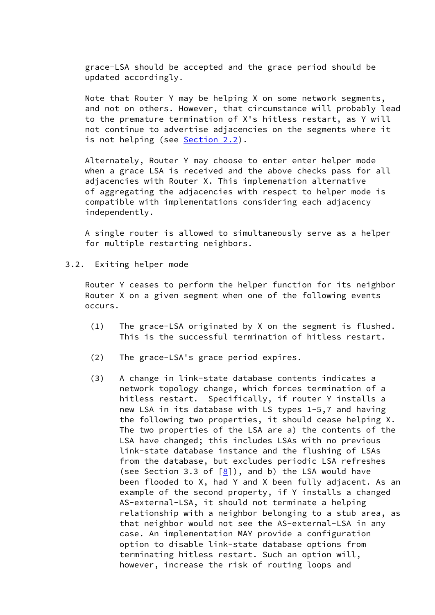grace-LSA should be accepted and the grace period should be updated accordingly.

 Note that Router Y may be helping X on some network segments, and not on others. However, that circumstance will probably lead to the premature termination of X's hitless restart, as Y will not continue to advertise adjacencies on the segments where it is not helping (see Section 2.2).

 Alternately, Router Y may choose to enter enter helper mode when a grace LSA is received and the above checks pass for all adjacencies with Router X. This implemenation alternative of aggregating the adjacencies with respect to helper mode is compatible with implementations considering each adjacency independently.

 A single router is allowed to simultaneously serve as a helper for multiple restarting neighbors.

3.2. Exiting helper mode

 Router Y ceases to perform the helper function for its neighbor Router X on a given segment when one of the following events occurs.

- (1) The grace-LSA originated by X on the segment is flushed. This is the successful termination of hitless restart.
- (2) The grace-LSA's grace period expires.
- (3) A change in link-state database contents indicates a network topology change, which forces termination of a hitless restart. Specifically, if router Y installs a new LSA in its database with LS types 1-5,7 and having the following two properties, it should cease helping X. The two properties of the LSA are a) the contents of the LSA have changed; this includes LSAs with no previous link-state database instance and the flushing of LSAs from the database, but excludes periodic LSA refreshes (see Section 3.3 of  $[8]$  $[8]$ ), and b) the LSA would have been flooded to X, had Y and X been fully adjacent. As an example of the second property, if Y installs a changed AS-external-LSA, it should not terminate a helping relationship with a neighbor belonging to a stub area, as that neighbor would not see the AS-external-LSA in any case. An implementation MAY provide a configuration option to disable link-state database options from terminating hitless restart. Such an option will, however, increase the risk of routing loops and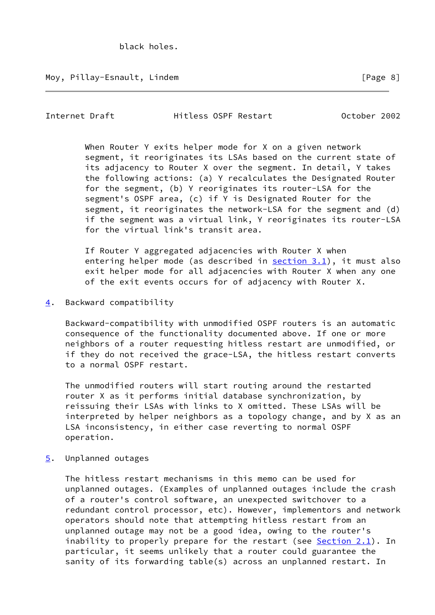<span id="page-9-1"></span>Internet Draft Hitless OSPF Restart October 2002

 When Router Y exits helper mode for X on a given network segment, it reoriginates its LSAs based on the current state of its adjacency to Router X over the segment. In detail, Y takes the following actions: (a) Y recalculates the Designated Router for the segment, (b) Y reoriginates its router-LSA for the segment's OSPF area, (c) if Y is Designated Router for the segment, it reoriginates the network-LSA for the segment and (d) if the segment was a virtual link, Y reoriginates its router-LSA for the virtual link's transit area.

 If Router Y aggregated adjacencies with Router X when entering helper mode (as described in section 3.1), it must also exit helper mode for all adjacencies with Router X when any one of the exit events occurs for of adjacency with Router X.

<span id="page-9-0"></span>[4](#page-9-0). Backward compatibility

 Backward-compatibility with unmodified OSPF routers is an automatic consequence of the functionality documented above. If one or more neighbors of a router requesting hitless restart are unmodified, or if they do not received the grace-LSA, the hitless restart converts to a normal OSPF restart.

 The unmodified routers will start routing around the restarted router X as it performs initial database synchronization, by reissuing their LSAs with links to X omitted. These LSAs will be interpreted by helper neighbors as a topology change, and by X as an LSA inconsistency, in either case reverting to normal OSPF operation.

<span id="page-9-2"></span>[5](#page-9-2). Unplanned outages

 The hitless restart mechanisms in this memo can be used for unplanned outages. (Examples of unplanned outages include the crash of a router's control software, an unexpected switchover to a redundant control processor, etc). However, implementors and network operators should note that attempting hitless restart from an unplanned outage may not be a good idea, owing to the router's inability to properly prepare for the restart (see  $Section 2.1$ ). In particular, it seems unlikely that a router could guarantee the sanity of its forwarding table(s) across an unplanned restart. In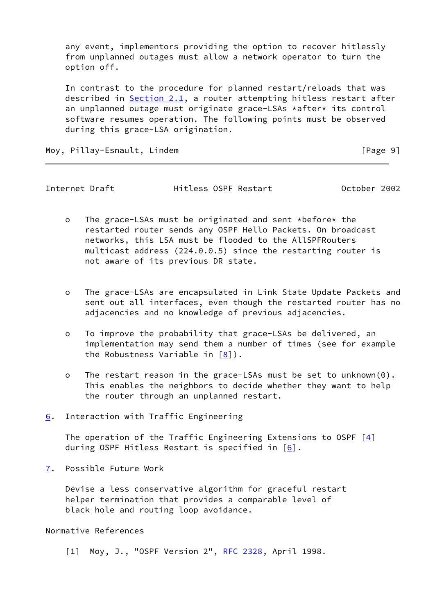any event, implementors providing the option to recover hitlessly from unplanned outages must allow a network operator to turn the option off.

 In contrast to the procedure for planned restart/reloads that was described in Section 2.1, a router attempting hitless restart after an unplanned outage must originate grace-LSAs \*after\* its control software resumes operation. The following points must be observed during this grace-LSA origination.

Moy, Pillay-Esnault, Lindem **Example 20** 1 20 20 21 22 23 24 25 26 27 28 29 20 21 22 23 23 24 25 26 27 27 28 29 2

<span id="page-10-1"></span>Internet Draft Hitless OSPF Restart October 2002

- o The grace-LSAs must be originated and sent \*before\* the restarted router sends any OSPF Hello Packets. On broadcast networks, this LSA must be flooded to the AllSPFRouters multicast address (224.0.0.5) since the restarting router is not aware of its previous DR state.
- o The grace-LSAs are encapsulated in Link State Update Packets and sent out all interfaces, even though the restarted router has no adjacencies and no knowledge of previous adjacencies.
- o To improve the probability that grace-LSAs be delivered, an implementation may send them a number of times (see for example the Robustness Variable in [\[8](#page-11-2)]).
- o The restart reason in the grace-LSAs must be set to unknown(0). This enables the neighbors to decide whether they want to help the router through an unplanned restart.
- <span id="page-10-0"></span>[6](#page-10-0). Interaction with Traffic Engineering

The operation of the Traffic Engineering Extensions to OSPF  $[4]$ during OSPF Hitless Restart is specified in  $[6]$ .

<span id="page-10-2"></span>[7](#page-10-2). Possible Future Work

 Devise a less conservative algorithm for graceful restart helper termination that provides a comparable level of black hole and routing loop avoidance.

Normative References

<span id="page-10-3"></span>[1] Moy, J., "OSPF Version 2", [RFC 2328](https://datatracker.ietf.org/doc/pdf/rfc2328), April 1998.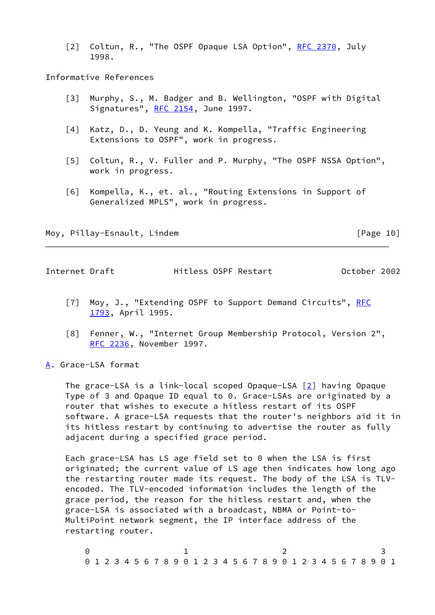<span id="page-11-5"></span>[2] Coltun, R., "The OSPF Opaque LSA Option", [RFC 2370](https://datatracker.ietf.org/doc/pdf/rfc2370), July 1998.

Informative References

- <span id="page-11-7"></span> [3] Murphy, S., M. Badger and B. Wellington, "OSPF with Digital Signatures", [RFC 2154,](https://datatracker.ietf.org/doc/pdf/rfc2154) June 1997.
- <span id="page-11-3"></span> [4] Katz, D., D. Yeung and K. Kompella, "Traffic Engineering Extensions to OSPF", work in progress.
- [5] Coltun, R., V. Fuller and P. Murphy, "The OSPF NSSA Option", work in progress.
- <span id="page-11-4"></span> [6] Kompella, K., et. al., "Routing Extensions in Support of Generalized MPLS", work in progress.

Moy, Pillay-Esnault, Lindem **Example 2018** [Page 10]

<span id="page-11-1"></span>Internet Draft Hitless OSPF Restart October 2002

- <span id="page-11-6"></span>[7] Moy, J., "Extending OSPF to Support Demand Circuits", [RFC](https://datatracker.ietf.org/doc/pdf/rfc1793) [1793](https://datatracker.ietf.org/doc/pdf/rfc1793), April 1995.
- <span id="page-11-2"></span> [8] Fenner, W., "Internet Group Membership Protocol, Version 2", [RFC 2236](https://datatracker.ietf.org/doc/pdf/rfc2236), November 1997.
- <span id="page-11-0"></span>[A](#page-11-0). Grace-LSA format

 The grace-LSA is a link-local scoped Opaque-LSA [\[2\]](#page-11-5) having Opaque Type of 3 and Opaque ID equal to 0. Grace-LSAs are originated by a router that wishes to execute a hitless restart of its OSPF software. A grace-LSA requests that the router's neighbors aid it in its hitless restart by continuing to advertise the router as fully adjacent during a specified grace period.

 Each grace-LSA has LS age field set to 0 when the LSA is first originated; the current value of LS age then indicates how long ago the restarting router made its request. The body of the LSA is TLV encoded. The TLV-encoded information includes the length of the grace period, the reason for the hitless restart and, when the grace-LSA is associated with a broadcast, NBMA or Point-to- MultiPoint network segment, the IP interface address of the restarting router.

 $0$  1 2 3 0 1 2 3 4 5 6 7 8 9 0 1 2 3 4 5 6 7 8 9 0 1 2 3 4 5 6 7 8 9 0 1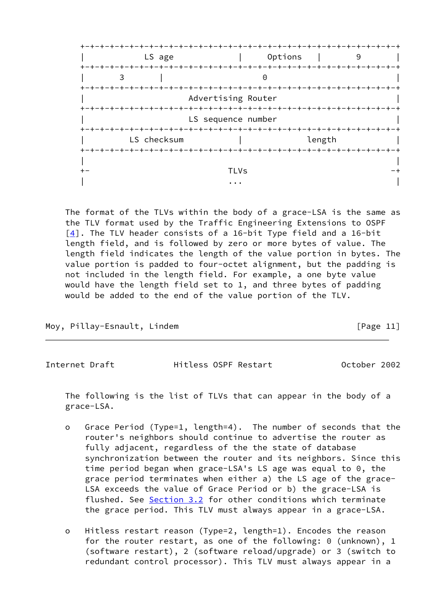

 The format of the TLVs within the body of a grace-LSA is the same as the TLV format used by the Traffic Engineering Extensions to OSPF [\[4\]](#page-11-3). The TLV header consists of a 16-bit Type field and a 16-bit length field, and is followed by zero or more bytes of value. The length field indicates the length of the value portion in bytes. The value portion is padded to four-octet alignment, but the padding is not included in the length field. For example, a one byte value would have the length field set to 1, and three bytes of padding would be added to the end of the value portion of the TLV.

Moy, Pillay-Esnault, Lindem **Example 20** [Page 11]

Internet Draft Hitless OSPF Restart October 2002

 The following is the list of TLVs that can appear in the body of a grace-LSA.

- o Grace Period (Type=1, length=4). The number of seconds that the router's neighbors should continue to advertise the router as fully adjacent, regardless of the the state of database synchronization between the router and its neighbors. Since this time period began when grace-LSA's LS age was equal to 0, the grace period terminates when either a) the LS age of the grace- LSA exceeds the value of Grace Period or b) the grace-LSA is flushed. See Section 3.2 for other conditions which terminate the grace period. This TLV must always appear in a grace-LSA.
- o Hitless restart reason (Type=2, length=1). Encodes the reason for the router restart, as one of the following: 0 (unknown), 1 (software restart), 2 (software reload/upgrade) or 3 (switch to redundant control processor). This TLV must always appear in a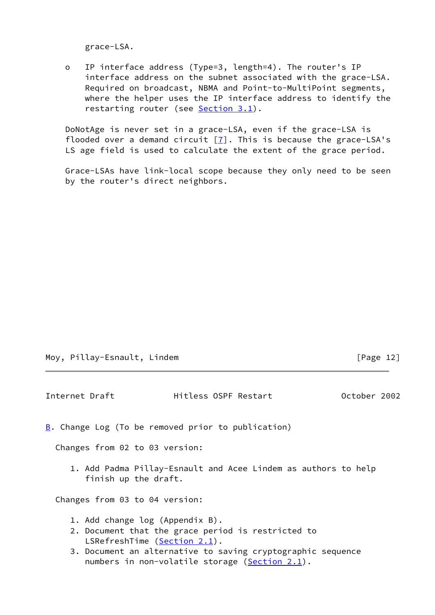grace-LSA.

 o IP interface address (Type=3, length=4). The router's IP interface address on the subnet associated with the grace-LSA. Required on broadcast, NBMA and Point-to-MultiPoint segments, where the helper uses the IP interface address to identify the restarting router (see Section 3.1).

 DoNotAge is never set in a grace-LSA, even if the grace-LSA is flooded over a demand circuit  $[7]$  $[7]$ . This is because the grace-LSA's LS age field is used to calculate the extent of the grace period.

 Grace-LSAs have link-local scope because they only need to be seen by the router's direct neighbors.

|  |  | Moy, Pillay-Esnault, Lindem |  |
|--|--|-----------------------------|--|
|--|--|-----------------------------|--|

 $[Page 12]$ 

<span id="page-13-1"></span><span id="page-13-0"></span>

| Internet Draft |                                                                                                                                                                                                                                            | Hitless OSPF Restart |  | October 2002 |  |
|----------------|--------------------------------------------------------------------------------------------------------------------------------------------------------------------------------------------------------------------------------------------|----------------------|--|--------------|--|
|                | <b>B.</b> Change Log (To be removed prior to publication)                                                                                                                                                                                  |                      |  |              |  |
|                | Changes from 02 to 03 version:                                                                                                                                                                                                             |                      |  |              |  |
|                | 1. Add Padma Pillay-Esnault and Acee Lindem as authors to help<br>finish up the draft.                                                                                                                                                     |                      |  |              |  |
|                | Changes from 03 to 04 version:                                                                                                                                                                                                             |                      |  |              |  |
|                | 1. Add change log (Appendix B).<br>2. Document that the grace period is restricted to<br>LSRefreshTime (Section 2.1).<br>3. Document an alternative to saving cryptographic sequence<br>numbers in non-volatile storage ( $Section 2.1$ ). |                      |  |              |  |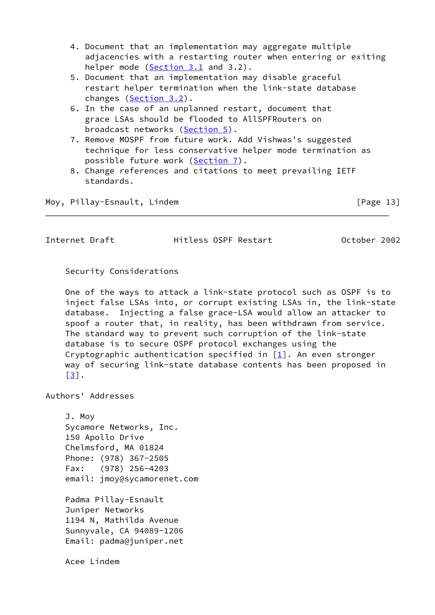- 4. Document that an implementation may aggregate multiple adjacencies with a restarting router when entering or exiting helper mode (Section 3.1 and 3.2).
- 5. Document that an implementation may disable graceful restart helper termination when the link-state database changes (Section 3.2).
- 6. In the case of an unplanned restart, document that grace LSAs should be flooded to AllSPFRouters on broadcast networks [\(Section 5](#page-9-2)).
- 7. Remove MOSPF from future work. Add Vishwas's suggested technique for less conservative helper mode termination as possible future work ([Section 7\)](#page-10-2).
- 8. Change references and citations to meet prevailing IETF standards.

Moy, Pillay-Esnault, Lindem [Page 13]

<span id="page-14-0"></span>Internet Draft Hitless OSPF Restart October 2002

Security Considerations

 One of the ways to attack a link-state protocol such as OSPF is to inject false LSAs into, or corrupt existing LSAs in, the link-state database. Injecting a false grace-LSA would allow an attacker to spoof a router that, in reality, has been withdrawn from service. The standard way to prevent such corruption of the link-state database is to secure OSPF protocol exchanges using the Cryptographic authentication specified in  $[1]$  $[1]$ . An even stronger way of securing link-state database contents has been proposed in  $\lceil 3 \rceil$ .

Authors' Addresses

 J. Moy Sycamore Networks, Inc. 150 Apollo Drive Chelmsford, MA 01824 Phone: (978) 367-2505 Fax: (978) 256-4203 email: jmoy@sycamorenet.com

 Padma Pillay-Esnault Juniper Networks 1194 N, Mathilda Avenue Sunnyvale, CA 94089-1206 Email: padma@juniper.net

Acee Lindem